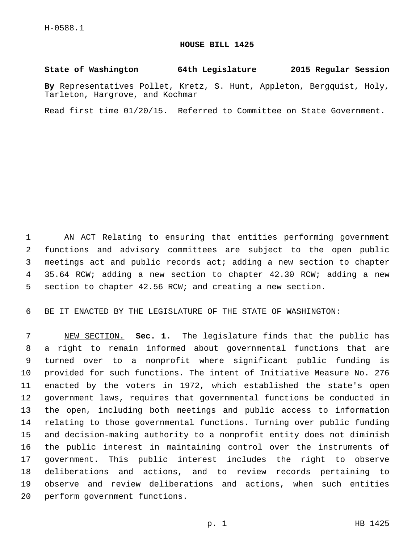## **HOUSE BILL 1425**

## **State of Washington 64th Legislature 2015 Regular Session**

**By** Representatives Pollet, Kretz, S. Hunt, Appleton, Bergquist, Holy, Tarleton, Hargrove, and Kochmar

Read first time 01/20/15. Referred to Committee on State Government.

 AN ACT Relating to ensuring that entities performing government functions and advisory committees are subject to the open public meetings act and public records act; adding a new section to chapter 35.64 RCW; adding a new section to chapter 42.30 RCW; adding a new section to chapter 42.56 RCW; and creating a new section.

BE IT ENACTED BY THE LEGISLATURE OF THE STATE OF WASHINGTON:

 NEW SECTION. **Sec. 1.** The legislature finds that the public has a right to remain informed about governmental functions that are turned over to a nonprofit where significant public funding is provided for such functions. The intent of Initiative Measure No. 276 enacted by the voters in 1972, which established the state's open government laws, requires that governmental functions be conducted in the open, including both meetings and public access to information relating to those governmental functions. Turning over public funding and decision-making authority to a nonprofit entity does not diminish the public interest in maintaining control over the instruments of government. This public interest includes the right to observe deliberations and actions, and to review records pertaining to observe and review deliberations and actions, when such entities perform government functions.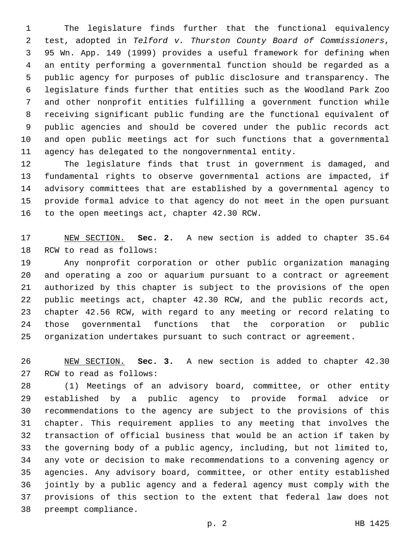The legislature finds further that the functional equivalency test, adopted in *Telford v. Thurston County Board of Commissioners*, 95 Wn. App. 149 (1999) provides a useful framework for defining when an entity performing a governmental function should be regarded as a public agency for purposes of public disclosure and transparency. The legislature finds further that entities such as the Woodland Park Zoo and other nonprofit entities fulfilling a government function while receiving significant public funding are the functional equivalent of public agencies and should be covered under the public records act and open public meetings act for such functions that a governmental agency has delegated to the nongovernmental entity.

 The legislature finds that trust in government is damaged, and fundamental rights to observe governmental actions are impacted, if advisory committees that are established by a governmental agency to provide formal advice to that agency do not meet in the open pursuant 16 to the open meetings act, chapter 42.30 RCW.

 NEW SECTION. **Sec. 2.** A new section is added to chapter 35.64 18 RCW to read as follows:

 Any nonprofit corporation or other public organization managing and operating a zoo or aquarium pursuant to a contract or agreement authorized by this chapter is subject to the provisions of the open public meetings act, chapter 42.30 RCW, and the public records act, chapter 42.56 RCW, with regard to any meeting or record relating to those governmental functions that the corporation or public organization undertakes pursuant to such contract or agreement.

 NEW SECTION. **Sec. 3.** A new section is added to chapter 42.30 27 RCW to read as follows:

 (1) Meetings of an advisory board, committee, or other entity established by a public agency to provide formal advice or recommendations to the agency are subject to the provisions of this chapter. This requirement applies to any meeting that involves the transaction of official business that would be an action if taken by the governing body of a public agency, including, but not limited to, any vote or decision to make recommendations to a convening agency or agencies. Any advisory board, committee, or other entity established jointly by a public agency and a federal agency must comply with the provisions of this section to the extent that federal law does not 38 preempt compliance.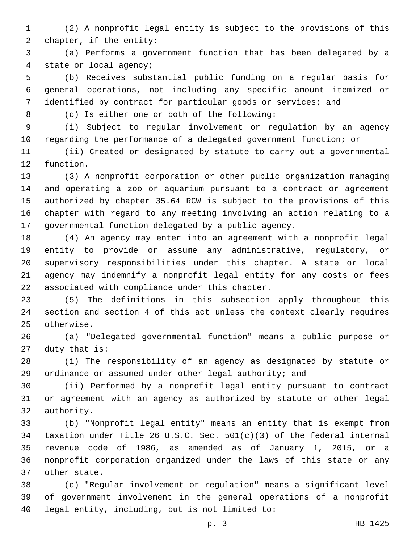(2) A nonprofit legal entity is subject to the provisions of this 2 chapter, if the entity:

 (a) Performs a government function that has been delegated by a 4 state or local agency;

 (b) Receives substantial public funding on a regular basis for general operations, not including any specific amount itemized or identified by contract for particular goods or services; and

8 (c) Is either one or both of the following:

 (i) Subject to regular involvement or regulation by an agency regarding the performance of a delegated government function; or

 (ii) Created or designated by statute to carry out a governmental 12 function.

 (3) A nonprofit corporation or other public organization managing and operating a zoo or aquarium pursuant to a contract or agreement authorized by chapter 35.64 RCW is subject to the provisions of this chapter with regard to any meeting involving an action relating to a governmental function delegated by a public agency.

 (4) An agency may enter into an agreement with a nonprofit legal entity to provide or assume any administrative, regulatory, or supervisory responsibilities under this chapter. A state or local agency may indemnify a nonprofit legal entity for any costs or fees 22 associated with compliance under this chapter.

 (5) The definitions in this subsection apply throughout this section and section 4 of this act unless the context clearly requires 25 otherwise.

 (a) "Delegated governmental function" means a public purpose or duty that is:

 (i) The responsibility of an agency as designated by statute or ordinance or assumed under other legal authority; and

 (ii) Performed by a nonprofit legal entity pursuant to contract or agreement with an agency as authorized by statute or other legal 32 authority.

 (b) "Nonprofit legal entity" means an entity that is exempt from taxation under Title 26 U.S.C. Sec. 501(c)(3) of the federal internal revenue code of 1986, as amended as of January 1, 2015, or a nonprofit corporation organized under the laws of this state or any 37 other state.

 (c) "Regular involvement or regulation" means a significant level of government involvement in the general operations of a nonprofit 40 legal entity, including, but is not limited to: